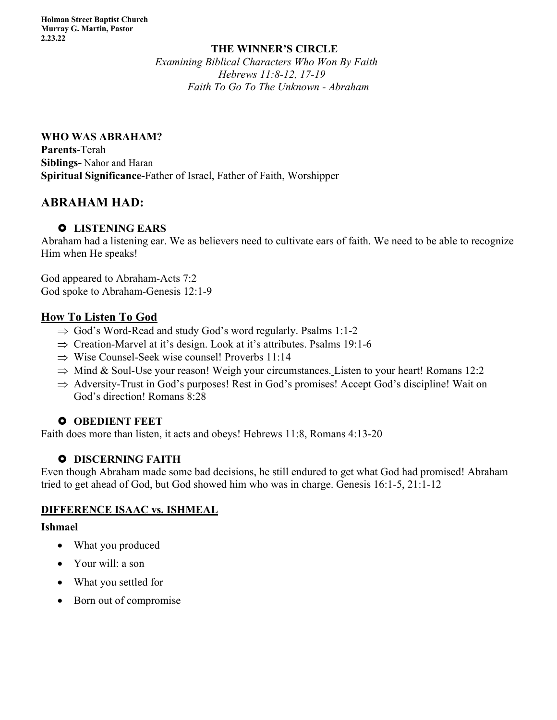#### **THE WINNER'S CIRCLE** *Examining Biblical Characters Who Won By Faith Hebrews 11:8-12, 17-19 Faith To Go To The Unknown - Abraham*

#### **WHO WAS ABRAHAM?**

**Parents**-Terah **Siblings-** Nahor and Haran **Spiritual Significance-**Father of Israel, Father of Faith, Worshipper

# **ABRAHAM HAD:**

## £ **LISTENING EARS**

Abraham had a listening ear. We as believers need to cultivate ears of faith. We need to be able to recognize Him when He speaks!

God appeared to Abraham-Acts 7:2 God spoke to Abraham-Genesis 12:1-9

## **How To Listen To God**

- $\Rightarrow$  God's Word-Read and study God's word regularly. Psalms 1:1-2
- $\Rightarrow$  Creation-Marvel at it's design. Look at it's attributes. Psalms 19:1-6
- $\Rightarrow$  Wise Counsel-Seek wise counsel! Proverbs 11:14
- $\Rightarrow$  Mind & Soul-Use your reason! Weigh your circumstances. Listen to your heart! Romans 12:2
- $\Rightarrow$  Adversity-Trust in God's purposes! Rest in God's promises! Accept God's discipline! Wait on God's direction! Romans 8:28

## $O$  **OBEDIENT FEET**

Faith does more than listen, it acts and obeys! Hebrews 11:8, Romans 4:13-20

## $O$  DISCERNING FAITH

Even though Abraham made some bad decisions, he still endured to get what God had promised! Abraham tried to get ahead of God, but God showed him who was in charge. Genesis 16:1-5, 21:1-12

## **DIFFERENCE ISAAC vs. ISHMEAL**

#### **Ishmael**

- What you produced
- Your will: a son
- What you settled for
- Born out of compromise